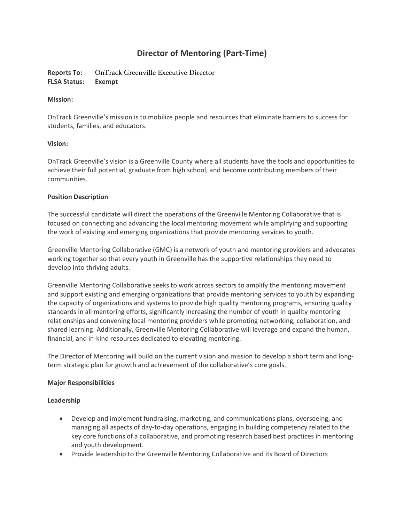# **Director of Mentoring (Part-Time)**

**Reports To:** OnTrack Greenville Executive Director **FLSA Status: Exempt**

# **Mission:**

OnTrack Greenville's mission is to mobilize people and resources that eliminate barriers to success for students, families, and educators.

# **Vision:**

OnTrack Greenville's vision is a Greenville County where all students have the tools and opportunities to achieve their full potential, graduate from high school, and become contributing members of their communities.

# **Position Description**

The successful candidate will direct the operations of the Greenville Mentoring Collaborative that is focused on connecting and advancing the local mentoring movement while amplifying and supporting the work of existing and emerging organizations that provide mentoring services to youth.

Greenville Mentoring Collaborative (GMC) is a network of youth and mentoring providers and advocates working together so that every youth in Greenville has the supportive relationships they need to develop into thriving adults.

Greenville Mentoring Collaborative seeks to work across sectors to amplify the mentoring movement and support existing and emerging organizations that provide mentoring services to youth by expanding the capacity of organizations and systems to provide high quality mentoring programs, ensuring quality standards in all mentoring efforts, significantly increasing the number of youth in quality mentoring relationships and convening local mentoring providers while promoting networking, collaboration, and shared learning. Additionally, Greenville Mentoring Collaborative will leverage and expand the human, financial, and in-kind resources dedicated to elevating mentoring.

The Director of Mentoring will build on the current vision and mission to develop a short term and longterm strategic plan for growth and achievement of the collaborative's core goals.

# **Major Responsibilities**

# **Leadership**

- Develop and implement fundraising, marketing, and communications plans, overseeing, and managing all aspects of day-to-day operations, engaging in building competency related to the key core functions of a collaborative, and promoting research based best practices in mentoring and youth development.
- Provide leadership to the Greenville Mentoring Collaborative and its Board of Directors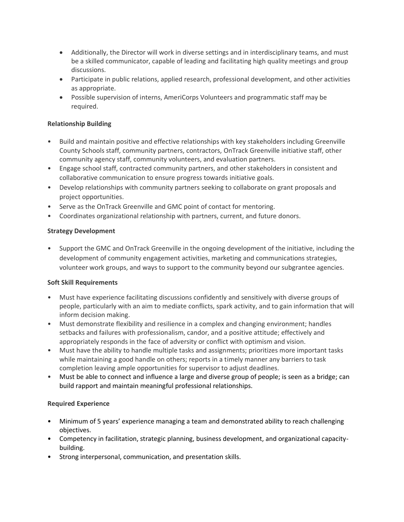- Additionally, the Director will work in diverse settings and in interdisciplinary teams, and must be a skilled communicator, capable of leading and facilitating high quality meetings and group discussions.
- Participate in public relations, applied research, professional development, and other activities as appropriate.
- Possible supervision of interns, AmeriCorps Volunteers and programmatic staff may be required.

# **Relationship Building**

- Build and maintain positive and effective relationships with key stakeholders including Greenville County Schools staff, community partners, contractors, OnTrack Greenville initiative staff, other community agency staff, community volunteers, and evaluation partners.
- Engage school staff, contracted community partners, and other stakeholders in consistent and collaborative communication to ensure progress towards initiative goals.
- Develop relationships with community partners seeking to collaborate on grant proposals and project opportunities.
- Serve as the OnTrack Greenville and GMC point of contact for mentoring.
- Coordinates organizational relationship with partners, current, and future donors.

# **Strategy Development**

• Support the GMC and OnTrack Greenville in the ongoing development of the initiative, including the development of community engagement activities, marketing and communications strategies, volunteer work groups, and ways to support to the community beyond our subgrantee agencies.

# **Soft Skill Requirements**

- Must have experience facilitating discussions confidently and sensitively with diverse groups of people, particularly with an aim to mediate conflicts, spark activity, and to gain information that will inform decision making.
- Must demonstrate flexibility and resilience in a complex and changing environment; handles setbacks and failures with professionalism, candor, and a positive attitude; effectively and appropriately responds in the face of adversity or conflict with optimism and vision.
- Must have the ability to handle multiple tasks and assignments; prioritizes more important tasks while maintaining a good handle on others; reports in a timely manner any barriers to task completion leaving ample opportunities for supervisor to adjust deadlines.
- Must be able to connect and influence a large and diverse group of people; is seen as a bridge; can build rapport and maintain meaningful professional relationships.

# **Required Experience**

- Minimum of 5 years' experience managing a team and demonstrated ability to reach challenging objectives.
- Competency in facilitation, strategic planning, business development, and organizational capacitybuilding.
- Strong interpersonal, communication, and presentation skills.